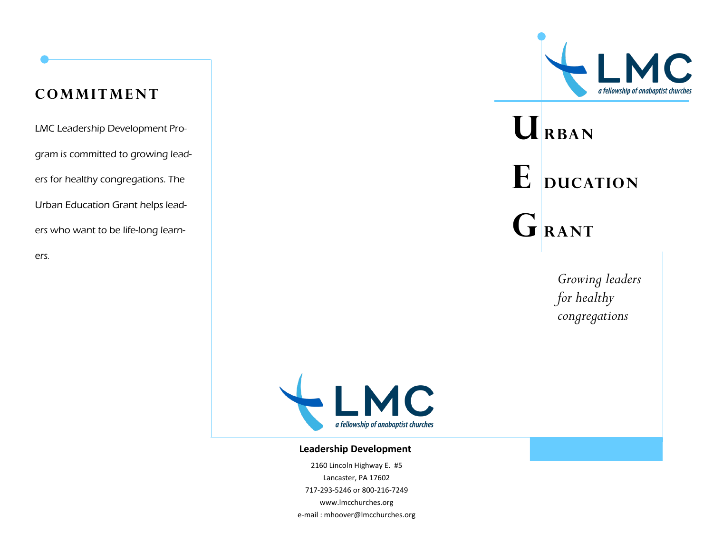### **cOMMITMENT**

LMC Leadership Development Program is committed to growing leaders for healthy congregations. The Urban Education Grant helps leaders who want to be life-long learners.



# $U$ **RBAN**  $E$  **ducation**  $G$ **RANT**

*Growing leaders for healthy congregations*



#### **Leadership Development**

2160 Lincoln Highway E. #5 Lancaster, PA 17602 717-293-5246 or 800-216-7249 www.lmcchurches.org e-mail : mhoover@lmcchurches.org